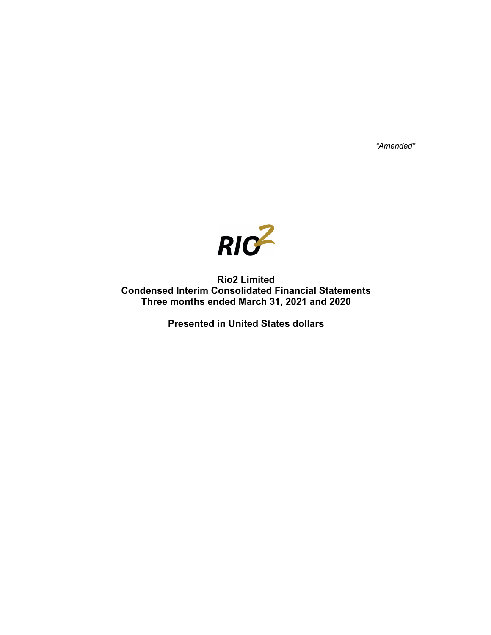*"Amended"*



**Rio2 Limited Condensed Interim Consolidated Financial Statements Three months ended March 31, 2021 and 2020**

**Presented in United States dollars**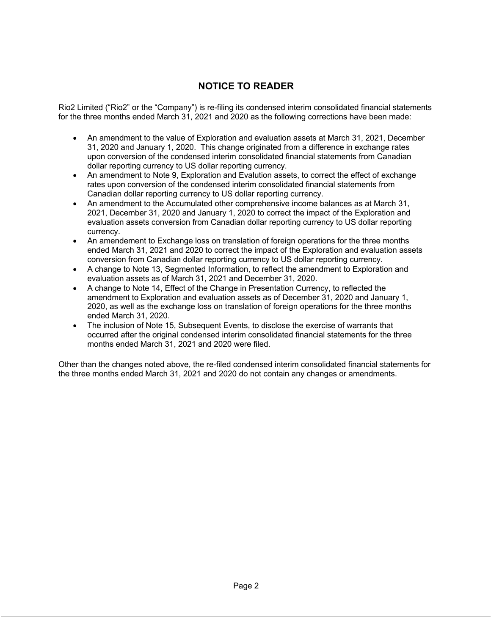# **NOTICE TO READER**

Rio2 Limited ("Rio2" or the "Company") is re-filing its condensed interim consolidated financial statements for the three months ended March 31, 2021 and 2020 as the following corrections have been made:

- An amendment to the value of Exploration and evaluation assets at March 31, 2021, December 31, 2020 and January 1, 2020. This change originated from a difference in exchange rates upon conversion of the condensed interim consolidated financial statements from Canadian dollar reporting currency to US dollar reporting currency.
- An amendment to Note 9, Exploration and Evalution assets, to correct the effect of exchange rates upon conversion of the condensed interim consolidated financial statements from Canadian dollar reporting currency to US dollar reporting currency.
- An amendment to the Accumulated other comprehensive income balances as at March 31, 2021, December 31, 2020 and January 1, 2020 to correct the impact of the Exploration and evaluation assets conversion from Canadian dollar reporting currency to US dollar reporting currency.
- An amendement to Exchange loss on translation of foreign operations for the three months ended March 31, 2021 and 2020 to correct the impact of the Exploration and evaluation assets conversion from Canadian dollar reporting currency to US dollar reporting currency.
- A change to Note 13, Segmented Information, to reflect the amendment to Exploration and evaluation assets as of March 31, 2021 and December 31, 2020.
- A change to Note 14, Effect of the Change in Presentation Currency, to reflected the amendment to Exploration and evaluation assets as of December 31, 2020 and January 1, 2020, as well as the exchange loss on translation of foreign operations for the three months ended March 31, 2020.
- The inclusion of Note 15, Subsequent Events, to disclose the exercise of warrants that occurred after the original condensed interim consolidated financial statements for the three months ended March 31, 2021 and 2020 were filed.

Other than the changes noted above, the re-filed condensed interim consolidated financial statements for the three months ended March 31, 2021 and 2020 do not contain any changes or amendments.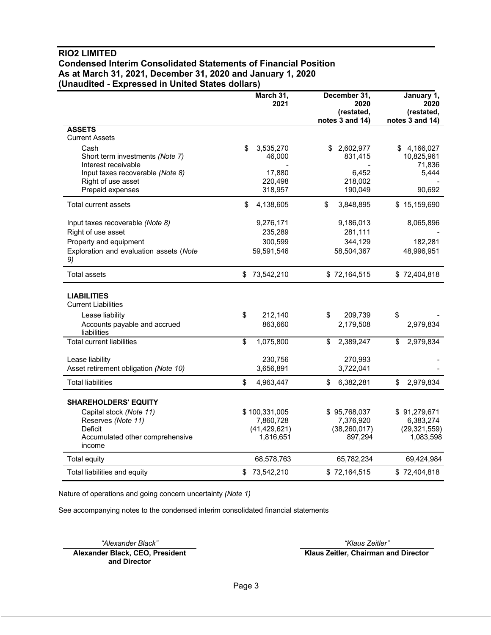# **RIO2 LIMITED Condensed Interim Consolidated Statements of Financial Position As at March 31, 2021, December 31, 2020 and January 1, 2020 (Unaudited - Expressed in United States dollars)**

|                                                                | March 31,<br>2021           |                          | December 31,<br>2020<br>(restated, | January 1,<br>2020<br>(restated,        |
|----------------------------------------------------------------|-----------------------------|--------------------------|------------------------------------|-----------------------------------------|
|                                                                |                             |                          | notes 3 and 14)                    | notes 3 and 14)                         |
| <b>ASSETS</b><br><b>Current Assets</b>                         |                             |                          |                                    |                                         |
| Cash<br>Short term investments (Note 7)<br>Interest receivable | \$<br>3,535,270<br>46,000   | \$                       | 2,602,977<br>831,415               | 4,166,027<br>\$<br>10,825,961<br>71,836 |
| Input taxes recoverable (Note 8)<br>Right of use asset         | 17,880<br>220,498           |                          | 6,452<br>218,002                   | 5,444                                   |
| Prepaid expenses                                               | 318,957                     |                          | 190,049                            | 90,692                                  |
| Total current assets                                           | \$<br>4,138,605             | \$                       | 3,848,895                          | \$15,159,690                            |
| Input taxes recoverable (Note 8)<br>Right of use asset         | 9,276,171<br>235,289        |                          | 9,186,013<br>281,111               | 8,065,896                               |
| Property and equipment                                         | 300,599                     |                          | 344,129                            | 182,281                                 |
| Exploration and evaluation assets (Note<br>9)                  | 59,591,546                  |                          | 58,504,367                         | 48,996,951                              |
| <b>Total assets</b>                                            | \$<br>73,542,210            |                          | \$72,164,515                       | \$72,404,818                            |
| <b>LIABILITIES</b><br><b>Current Liabilities</b>               |                             |                          |                                    |                                         |
| Lease liability                                                | \$<br>212.140               | \$                       | 209,739                            | \$                                      |
| Accounts payable and accrued<br>liabilities                    | 863,660                     |                          | 2,179,508                          | 2,979,834                               |
| <b>Total current liabilities</b>                               | \$<br>1,075,800             | $\overline{\mathcal{S}}$ | 2,389,247                          | \$<br>2,979,834                         |
| Lease liability                                                | 230,756                     |                          | 270,993                            |                                         |
| Asset retirement obligation (Note 10)                          | 3,656,891                   |                          | 3,722,041                          |                                         |
| <b>Total liabilities</b>                                       | \$<br>4,963,447             | \$                       | 6,382,281                          | \$<br>2,979,834                         |
| <b>SHAREHOLDERS' EQUITY</b>                                    |                             |                          |                                    |                                         |
| Capital stock (Note 11)                                        | \$100,331,005               |                          | \$95,768,037                       | \$91,279,671                            |
| Reserves (Note 11)                                             | 7,860,728                   |                          | 7,376,920                          | 6,383,274                               |
| Deficit<br>Accumulated other comprehensive                     | (41, 429, 621)<br>1,816,651 |                          | (38, 260, 017)<br>897,294          | (29, 321, 559)<br>1,083,598             |
| income                                                         |                             |                          |                                    |                                         |
| Total equity                                                   | 68,578,763                  |                          | 65,782,234                         | 69,424,984                              |
| Total liabilities and equity                                   | \$<br>73,542,210            |                          | \$72,164,515                       | \$72,404,818                            |

Nature of operations and going concern uncertainty *(Note 1)*

See accompanying notes to the condensed interim consolidated financial statements

**Alexander Black, CEO, President and Director**

*"Alexander Black" "Klaus Zeitler"* **Klaus Zeitler, Chairman and Director**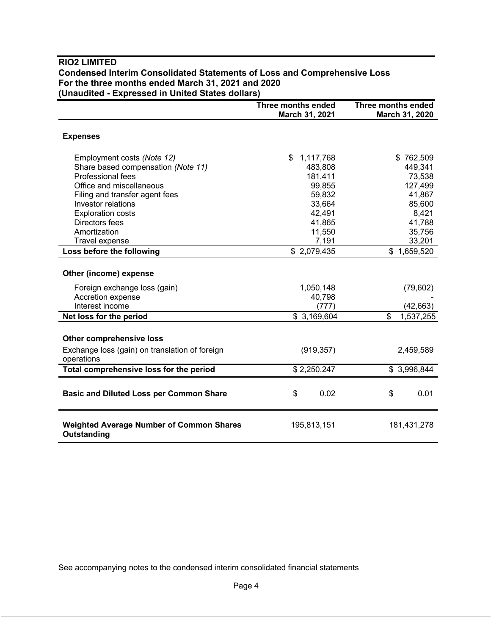|                                                                | Three months ended<br>March 31, 2021 | Three months ended<br>March 31, 2020 |
|----------------------------------------------------------------|--------------------------------------|--------------------------------------|
| <b>Expenses</b>                                                |                                      |                                      |
| Employment costs (Note 12)                                     | 1,117,768<br>\$                      | \$762,509                            |
| Share based compensation (Note 11)                             | 483,808                              | 449,341                              |
| <b>Professional fees</b>                                       | 181,411                              | 73,538                               |
| Office and miscellaneous                                       | 99,855                               | 127,499                              |
| Filing and transfer agent fees                                 | 59,832                               | 41,867                               |
| Investor relations                                             | 33,664                               | 85,600                               |
| <b>Exploration costs</b>                                       | 42,491                               | 8,421                                |
| Directors fees                                                 | 41,865                               | 41,788                               |
| Amortization                                                   | 11,550                               | 35,756                               |
| Travel expense                                                 | 7,191                                | 33,201                               |
| Loss before the following                                      | \$2,079,435                          | \$1,659,520                          |
| Other (income) expense<br>Foreign exchange loss (gain)         | 1,050,148                            | (79, 602)                            |
| Accretion expense                                              | 40,798                               |                                      |
| Interest income                                                | (777)                                | (42, 663)                            |
| Net loss for the period                                        | \$3,169,604                          | \$<br>1,537,255                      |
| <b>Other comprehensive loss</b>                                |                                      |                                      |
| Exchange loss (gain) on translation of foreign<br>operations   | (919, 357)                           | 2,459,589                            |
| Total comprehensive loss for the period                        | \$2,250,247                          | \$3,996,844                          |
| <b>Basic and Diluted Loss per Common Share</b>                 | \$<br>0.02                           | \$<br>0.01                           |
| <b>Weighted Average Number of Common Shares</b><br>Outstanding | 195,813,151                          | 181,431,278                          |

# **RIO2 LIMITED Condensed Interim Consolidated Statements of Loss and Comprehensive Loss For the three months ended March 31, 2021 and 2020 (Unaudited - Expressed in United States dollars)**

See accompanying notes to the condensed interim consolidated financial statements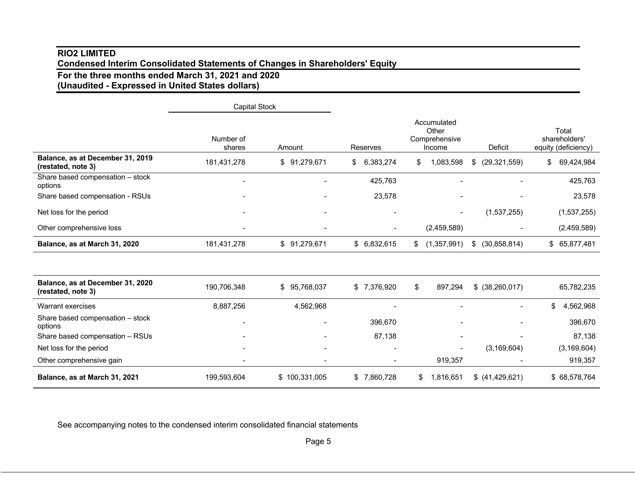# **RIO2 LIMITED Condensed Interim Consolidated Statements of Changes in Shareholders' Equity**

# **For the three months ended March 31, 2021 and 2020 (Unaudited - Expressed in United States dollars)**

|                                                        | <b>Capital Stock</b> |                          |                 |                                                 |                      |                                               |
|--------------------------------------------------------|----------------------|--------------------------|-----------------|-------------------------------------------------|----------------------|-----------------------------------------------|
|                                                        | Number of<br>shares  | Amount                   | <b>Reserves</b> | Accumulated<br>Other<br>Comprehensive<br>Income | Deficit              | Total<br>shareholders'<br>equity (deficiency) |
| Balance, as at December 31, 2019<br>(restated, note 3) | 181,431,278          | \$91,279,671             | 6,383,274<br>\$ | 1,083,598<br>\$                                 | (29, 321, 559)<br>\$ | 69,424,984<br>\$                              |
| Share based compensation - stock<br>options            |                      |                          | 425,763         |                                                 |                      | 425,763                                       |
| Share based compensation - RSUs                        |                      |                          | 23,578          |                                                 |                      | 23,578                                        |
| Net loss for the period                                |                      |                          |                 |                                                 | (1,537,255)          | (1,537,255)                                   |
| Other comprehensive loss                               |                      |                          |                 | (2,459,589)                                     |                      | (2,459,589)                                   |
| Balance, as at March 31, 2020                          | 181,431,278          | \$91,279,671             | \$6,832,615     | (1,357,991)<br>\$                               | (30, 858, 814)<br>\$ | \$ 65,877,481                                 |
|                                                        |                      |                          |                 |                                                 |                      |                                               |
| Balance, as at December 31, 2020<br>(restated, note 3) | 190,706,348          | \$95,768,037             | \$7,376,920     | \$<br>897,294                                   | $$$ (38,260,017)     | 65,782,235                                    |
| Warrant exercises                                      | 8,887,256            | 4,562,968                |                 |                                                 |                      | 4,562,968<br>\$                               |
| Share based compensation - stock<br>options            |                      |                          | 396,670         |                                                 |                      | 396,670                                       |
| Share based compensation - RSUs                        |                      |                          | 87,138          |                                                 |                      | 87,138                                        |
| Net loss for the period                                |                      | $\overline{\phantom{a}}$ |                 |                                                 | (3, 169, 604)        | (3, 169, 604)                                 |
| Other comprehensive gain                               |                      |                          |                 | 919,357                                         |                      | 919,357                                       |
| Balance, as at March 31, 2021                          | 199,593,604          | \$100,331,005            | 7,860,728<br>\$ | 1,816,651<br>\$                                 | $$$ (41,429,621)     | \$68,578,764                                  |

See accompanying notes to the condensed interim consolidated financial statements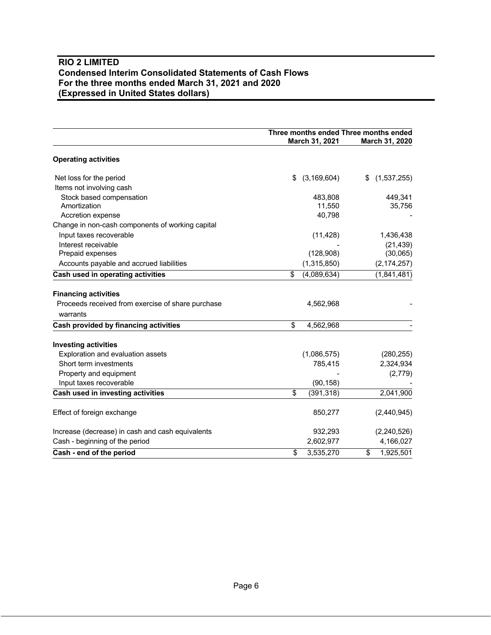# **RIO 2 LIMITED Condensed Interim Consolidated Statements of Cash Flows For the three months ended March 31, 2021 and 2020 (Expressed in United States dollars)**

|                                                   | Three months ended Three months ended<br>March 31, 2021 | March 31, 2020    |
|---------------------------------------------------|---------------------------------------------------------|-------------------|
| <b>Operating activities</b>                       |                                                         |                   |
| Net loss for the period                           | \$<br>(3, 169, 604)                                     | (1,537,255)<br>\$ |
| Items not involving cash                          |                                                         |                   |
| Stock based compensation                          | 483,808                                                 | 449,341           |
| Amortization                                      | 11,550                                                  | 35,756            |
| Accretion expense                                 | 40,798                                                  |                   |
| Change in non-cash components of working capital  |                                                         |                   |
| Input taxes recoverable                           | (11, 428)                                               | 1,436,438         |
| Interest receivable                               |                                                         | (21, 439)         |
| Prepaid expenses                                  | (128,908)                                               | (30,065)          |
| Accounts payable and accrued liabilities          | (1,315,850)                                             | (2, 174, 257)     |
| Cash used in operating activities                 | \$<br>(4,089,634)                                       | (1,841,481)       |
|                                                   |                                                         |                   |
| <b>Financing activities</b>                       |                                                         |                   |
| Proceeds received from exercise of share purchase | 4,562,968                                               |                   |
| warrants                                          |                                                         |                   |
| Cash provided by financing activities             | $\overline{\mathbf{e}}$<br>4,562,968                    |                   |
| <b>Investing activities</b>                       |                                                         |                   |
| Exploration and evaluation assets                 | (1,086,575)                                             | (280, 255)        |
| Short term investments                            | 785,415                                                 | 2,324,934         |
| Property and equipment                            |                                                         | (2,779)           |
| Input taxes recoverable                           | (90, 158)                                               |                   |
| Cash used in investing activities                 | \$<br>(391, 318)                                        | 2,041,900         |
| Effect of foreign exchange                        | 850,277                                                 | (2,440,945)       |
| Increase (decrease) in cash and cash equivalents  | 932,293                                                 | (2,240,526)       |
| Cash - beginning of the period                    | 2,602,977                                               | 4,166,027         |
| Cash - end of the period                          | \$<br>3,535,270                                         | 1,925,501<br>\$   |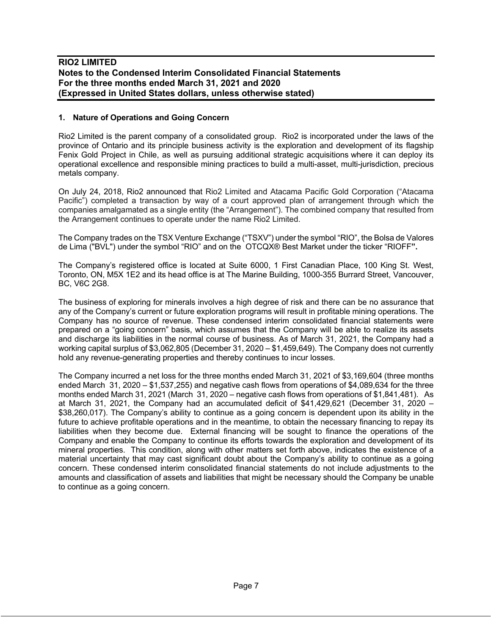### **1. Nature of Operations and Going Concern**

Rio2 Limited is the parent company of a consolidated group. Rio2 is incorporated under the laws of the province of Ontario and its principle business activity is the exploration and development of its flagship Fenix Gold Project in Chile, as well as pursuing additional strategic acquisitions where it can deploy its operational excellence and responsible mining practices to build a multi-asset, multi-jurisdiction, precious metals company.

On July 24, 2018, Rio2 announced that Rio2 Limited and Atacama Pacific Gold Corporation ("Atacama Pacific") completed a transaction by way of a court approved plan of arrangement through which the companies amalgamated as a single entity (the "Arrangement"). The combined company that resulted from the Arrangement continues to operate under the name Rio2 Limited.

The Company trades on the TSX Venture Exchange ("TSXV") under the symbol "RIO", the Bolsa de Valores de Lima ("BVL") under the symbol "RIO" and on the OTCQX® Best Market under the ticker "RIOFF**".**

The Company's registered office is located at Suite 6000, 1 First Canadian Place, 100 King St. West, Toronto, ON, M5X 1E2 and its head office is at The Marine Building, 1000-355 Burrard Street, Vancouver, BC, V6C 2G8.

The business of exploring for minerals involves a high degree of risk and there can be no assurance that any of the Company's current or future exploration programs will result in profitable mining operations. The Company has no source of revenue. These condensed interim consolidated financial statements were prepared on a "going concern" basis, which assumes that the Company will be able to realize its assets and discharge its liabilities in the normal course of business. As of March 31, 2021, the Company had a working capital surplus of \$3,062,805 (December 31, 2020 – \$1,459,649). The Company does not currently hold any revenue-generating properties and thereby continues to incur losses.

The Company incurred a net loss for the three months ended March 31, 2021 of \$3,169,604 (three months ended March 31, 2020 – \$1,537,255) and negative cash flows from operations of \$4,089,634 for the three months ended March 31, 2021 (March 31, 2020 – negative cash flows from operations of \$1,841,481). As at March 31, 2021, the Company had an accumulated deficit of \$41,429,621 (December 31, 2020 – \$38,260,017). The Company's ability to continue as a going concern is dependent upon its ability in the future to achieve profitable operations and in the meantime, to obtain the necessary financing to repay its liabilities when they become due. External financing will be sought to finance the operations of the Company and enable the Company to continue its efforts towards the exploration and development of its mineral properties. This condition, along with other matters set forth above, indicates the existence of a material uncertainty that may cast significant doubt about the Company's ability to continue as a going concern. These condensed interim consolidated financial statements do not include adjustments to the amounts and classification of assets and liabilities that might be necessary should the Company be unable to continue as a going concern.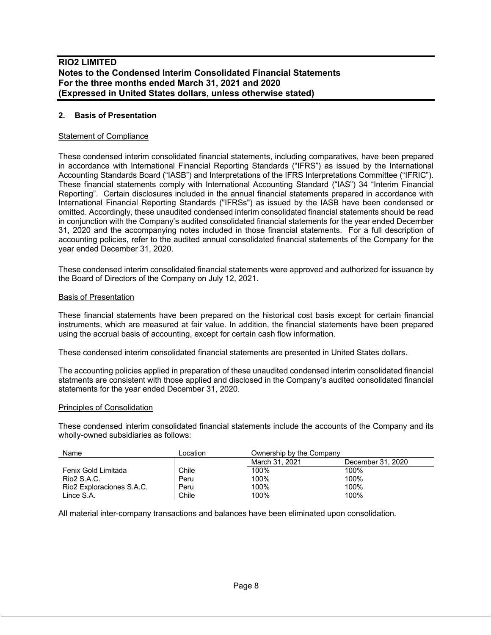### **2. Basis of Presentation**

#### Statement of Compliance

These condensed interim consolidated financial statements, including comparatives, have been prepared in accordance with International Financial Reporting Standards ("IFRS") as issued by the International Accounting Standards Board ("IASB") and Interpretations of the IFRS Interpretations Committee ("IFRIC"). These financial statements comply with International Accounting Standard ("IAS") 34 "Interim Financial Reporting". Certain disclosures included in the annual financial statements prepared in accordance with International Financial Reporting Standards ("IFRSs") as issued by the IASB have been condensed or omitted. Accordingly, these unaudited condensed interim consolidated financial statements should be read in conjunction with the Company's audited consolidated financial statements for the year ended December 31, 2020 and the accompanying notes included in those financial statements. For a full description of accounting policies, refer to the audited annual consolidated financial statements of the Company for the year ended December 31, 2020.

These condensed interim consolidated financial statements were approved and authorized for issuance by the Board of Directors of the Company on July 12, 2021.

#### Basis of Presentation

These financial statements have been prepared on the historical cost basis except for certain financial instruments, which are measured at fair value. In addition, the financial statements have been prepared using the accrual basis of accounting, except for certain cash flow information.

These condensed interim consolidated financial statements are presented in United States dollars.

The accounting policies applied in preparation of these unaudited condensed interim consolidated financial statments are consistent with those applied and disclosed in the Company's audited consolidated financial statements for the year ended December 31, 2020.

#### Principles of Consolidation

These condensed interim consolidated financial statements include the accounts of the Company and its wholly-owned subsidiaries as follows:

| Name                      | Location | Ownership by the Company |                   |
|---------------------------|----------|--------------------------|-------------------|
|                           |          | March 31, 2021           | December 31, 2020 |
| Fenix Gold Limitada       | Chile    | 100%                     | $100\%$           |
| Rio2 S.A.C.               | Peru     | 100%                     | 100%              |
| Rio2 Exploraciones S.A.C. | Peru     | 100%                     | 100%              |
| Lince S.A.                | Chile    | 100%                     | 100%              |

All material inter-company transactions and balances have been eliminated upon consolidation.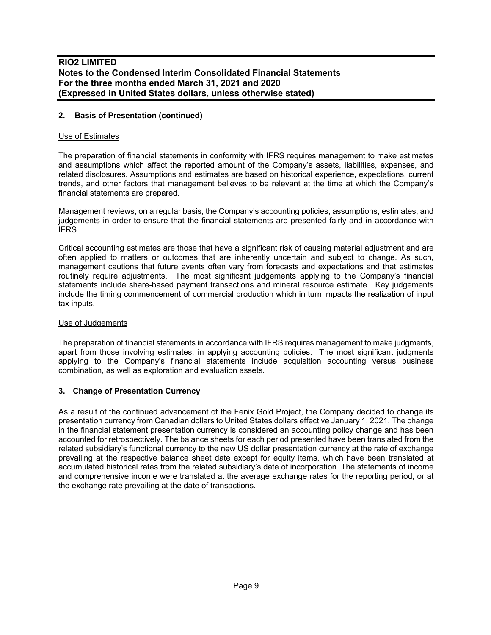### **2. Basis of Presentation (continued)**

### Use of Estimates

The preparation of financial statements in conformity with IFRS requires management to make estimates and assumptions which affect the reported amount of the Company's assets, liabilities, expenses, and related disclosures. Assumptions and estimates are based on historical experience, expectations, current trends, and other factors that management believes to be relevant at the time at which the Company's financial statements are prepared.

Management reviews, on a regular basis, the Company's accounting policies, assumptions, estimates, and judgements in order to ensure that the financial statements are presented fairly and in accordance with IFRS.

Critical accounting estimates are those that have a significant risk of causing material adjustment and are often applied to matters or outcomes that are inherently uncertain and subject to change. As such, management cautions that future events often vary from forecasts and expectations and that estimates routinely require adjustments. The most significant judgements applying to the Company's financial statements include share-based payment transactions and mineral resource estimate. Key judgements include the timing commencement of commercial production which in turn impacts the realization of input tax inputs.

#### Use of Judgements

The preparation of financial statements in accordance with IFRS requires management to make judgments, apart from those involving estimates, in applying accounting policies. The most significant judgments applying to the Company's financial statements include acquisition accounting versus business combination, as well as exploration and evaluation assets.

### **3. Change of Presentation Currency**

As a result of the continued advancement of the Fenix Gold Project, the Company decided to change its presentation currency from Canadian dollars to United States dollars effective January 1, 2021. The change in the financial statement presentation currency is considered an accounting policy change and has been accounted for retrospectively. The balance sheets for each period presented have been translated from the related subsidiary's functional currency to the new US dollar presentation currency at the rate of exchange prevailing at the respective balance sheet date except for equity items, which have been translated at accumulated historical rates from the related subsidiary's date of incorporation. The statements of income and comprehensive income were translated at the average exchange rates for the reporting period, or at the exchange rate prevailing at the date of transactions.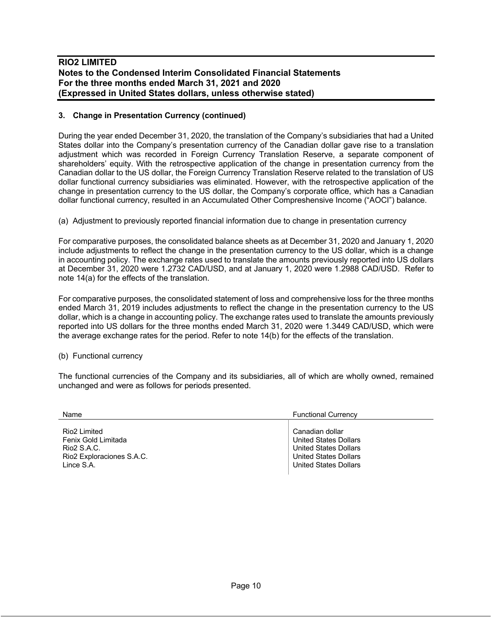## **3. Change in Presentation Currency (continued)**

During the year ended December 31, 2020, the translation of the Company's subsidiaries that had a United States dollar into the Company's presentation currency of the Canadian dollar gave rise to a translation adjustment which was recorded in Foreign Currency Translation Reserve, a separate component of shareholders' equity. With the retrospective application of the change in presentation currency from the Canadian dollar to the US dollar, the Foreign Currency Translation Reserve related to the translation of US dollar functional currency subsidiaries was eliminated. However, with the retrospective application of the change in presentation currency to the US dollar, the Company's corporate office, which has a Canadian dollar functional currency, resulted in an Accumulated Other Compreshensive Income ("AOCI") balance.

# (a) Adjustment to previously reported financial information due to change in presentation currency

For comparative purposes, the consolidated balance sheets as at December 31, 2020 and January 1, 2020 include adjustments to reflect the change in the presentation currency to the US dollar, which is a change in accounting policy. The exchange rates used to translate the amounts previously reported into US dollars at December 31, 2020 were 1.2732 CAD/USD, and at January 1, 2020 were 1.2988 CAD/USD. Refer to note 14(a) for the effects of the translation.

For comparative purposes, the consolidated statement of loss and comprehensive loss for the three months ended March 31, 2019 includes adjustments to reflect the change in the presentation currency to the US dollar, which is a change in accounting policy. The exchange rates used to translate the amounts previously reported into US dollars for the three months ended March 31, 2020 were 1.3449 CAD/USD, which were the average exchange rates for the period. Refer to note 14(b) for the effects of the translation.

### (b) Functional currency

The functional currencies of the Company and its subsidiaries, all of which are wholly owned, remained unchanged and were as follows for periods presented.

| Name                      | <b>Functional Currency</b>   |
|---------------------------|------------------------------|
| Rio <sub>2</sub> Limited  | Canadian dollar              |
| Fenix Gold Limitada       | <b>United States Dollars</b> |
| Rio2 S.A.C.               | <b>United States Dollars</b> |
| Rio2 Exploraciones S.A.C. | <b>United States Dollars</b> |
| Lince S.A.                | <b>United States Dollars</b> |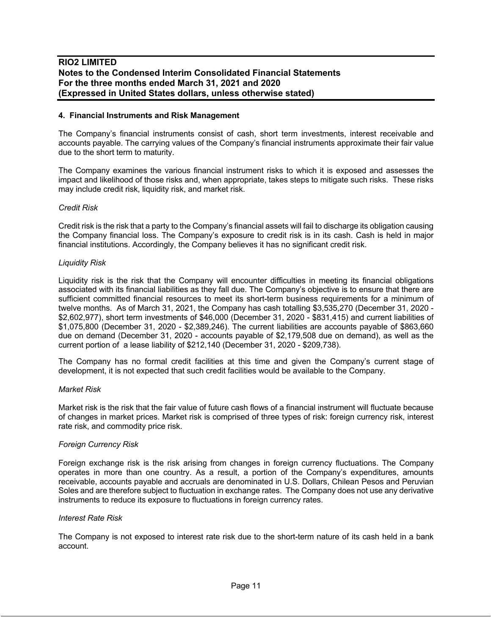#### **4. Financial Instruments and Risk Management**

The Company's financial instruments consist of cash, short term investments, interest receivable and accounts payable. The carrying values of the Company's financial instruments approximate their fair value due to the short term to maturity.

The Company examines the various financial instrument risks to which it is exposed and assesses the impact and likelihood of those risks and, when appropriate, takes steps to mitigate such risks. These risks may include credit risk, liquidity risk, and market risk.

### *Credit Risk*

Credit risk is the risk that a party to the Company's financial assets will fail to discharge its obligation causing the Company financial loss. The Company's exposure to credit risk is in its cash. Cash is held in major financial institutions. Accordingly, the Company believes it has no significant credit risk.

### *Liquidity Risk*

Liquidity risk is the risk that the Company will encounter difficulties in meeting its financial obligations associated with its financial liabilities as they fall due. The Company's objective is to ensure that there are sufficient committed financial resources to meet its short-term business requirements for a minimum of twelve months. As of March 31, 2021, the Company has cash totalling \$3,535,270 (December 31, 2020 - \$2,602,977), short term investments of \$46,000 (December 31, 2020 - \$831,415) and current liabilities of \$1,075,800 (December 31, 2020 - \$2,389,246). The current liabilities are accounts payable of \$863,660 due on demand (December 31, 2020 - accounts payable of \$2,179,508 due on demand), as well as the current portion of a lease liability of \$212,140 (December 31, 2020 - \$209,738).

The Company has no formal credit facilities at this time and given the Company's current stage of development, it is not expected that such credit facilities would be available to the Company.

#### *Market Risk*

Market risk is the risk that the fair value of future cash flows of a financial instrument will fluctuate because of changes in market prices. Market risk is comprised of three types of risk: foreign currency risk, interest rate risk, and commodity price risk.

#### *Foreign Currency Risk*

Foreign exchange risk is the risk arising from changes in foreign currency fluctuations. The Company operates in more than one country. As a result, a portion of the Company's expenditures, amounts receivable, accounts payable and accruals are denominated in U.S. Dollars, Chilean Pesos and Peruvian Soles and are therefore subject to fluctuation in exchange rates. The Company does not use any derivative instruments to reduce its exposure to fluctuations in foreign currency rates.

#### *Interest Rate Risk*

The Company is not exposed to interest rate risk due to the short-term nature of its cash held in a bank account.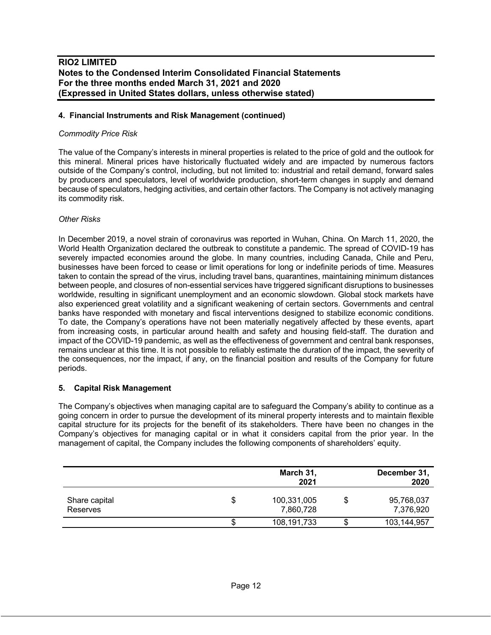### **4. Financial Instruments and Risk Management (continued)**

### *Commodity Price Risk*

The value of the Company's interests in mineral properties is related to the price of gold and the outlook for this mineral. Mineral prices have historically fluctuated widely and are impacted by numerous factors outside of the Company's control, including, but not limited to: industrial and retail demand, forward sales by producers and speculators, level of worldwide production, short-term changes in supply and demand because of speculators, hedging activities, and certain other factors. The Company is not actively managing its commodity risk.

### *Other Risks*

In December 2019, a novel strain of coronavirus was reported in Wuhan, China. On March 11, 2020, the World Health Organization declared the outbreak to constitute a pandemic. The spread of COVID-19 has severely impacted economies around the globe. In many countries, including Canada, Chile and Peru, businesses have been forced to cease or limit operations for long or indefinite periods of time. Measures taken to contain the spread of the virus, including travel bans, quarantines, maintaining minimum distances between people, and closures of non-essential services have triggered significant disruptions to businesses worldwide, resulting in significant unemployment and an economic slowdown. Global stock markets have also experienced great volatility and a significant weakening of certain sectors. Governments and central banks have responded with monetary and fiscal interventions designed to stabilize economic conditions. To date, the Company's operations have not been materially negatively affected by these events, apart from increasing costs, in particular around health and safety and housing field-staff. The duration and impact of the COVID-19 pandemic, as well as the effectiveness of government and central bank responses, remains unclear at this time. It is not possible to reliably estimate the duration of the impact, the severity of the consequences, nor the impact, if any, on the financial position and results of the Company for future periods.

### **5. Capital Risk Management**

The Company's objectives when managing capital are to safeguard the Company's ability to continue as a going concern in order to pursue the development of its mineral property interests and to maintain flexible capital structure for its projects for the benefit of its stakeholders. There have been no changes in the Company's objectives for managing capital or in what it considers capital from the prior year. In the management of capital, the Company includes the following components of shareholders' equity.

|                           |    | March 31,<br>2021        | December 31,<br>2020    |
|---------------------------|----|--------------------------|-------------------------|
| Share capital<br>Reserves | \$ | 100,331,005<br>7,860,728 | 95,768,037<br>7,376,920 |
|                           | æ  | 108,191,733              | 103,144,957             |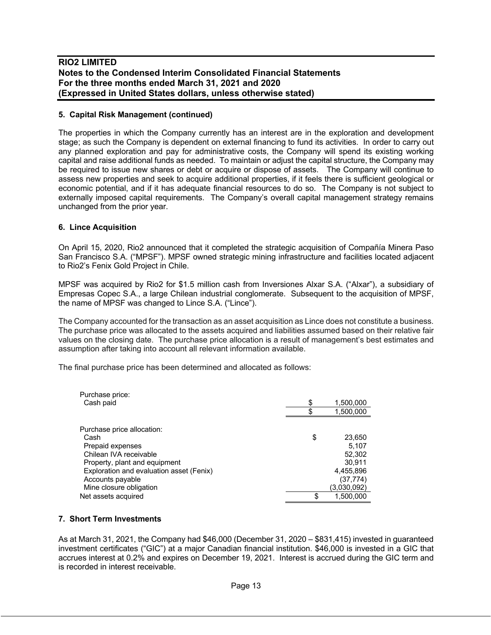### **5. Capital Risk Management (continued)**

The properties in which the Company currently has an interest are in the exploration and development stage; as such the Company is dependent on external financing to fund its activities. In order to carry out any planned exploration and pay for administrative costs, the Company will spend its existing working capital and raise additional funds as needed. To maintain or adjust the capital structure, the Company may be required to issue new shares or debt or acquire or dispose of assets. The Company will continue to assess new properties and seek to acquire additional properties, if it feels there is sufficient geological or economic potential, and if it has adequate financial resources to do so. The Company is not subject to externally imposed capital requirements. The Company's overall capital management strategy remains unchanged from the prior year.

### **6. Lince Acquisition**

On April 15, 2020, Rio2 announced that it completed the strategic acquisition of Compañía Minera Paso San Francisco S.A. ("MPSF"). MPSF owned strategic mining infrastructure and facilities located adjacent to Rio2's Fenix Gold Project in Chile.

MPSF was acquired by Rio2 for \$1.5 million cash from Inversiones Alxar S.A. ("Alxar"), a subsidiary of Empresas Copec S.A., a large Chilean industrial conglomerate. Subsequent to the acquisition of MPSF, the name of MPSF was changed to Lince S.A. ("Lince").

The Company accounted for the transaction as an asset acquisition as Lince does not constitute a business. The purchase price was allocated to the assets acquired and liabilities assumed based on their relative fair values on the closing date. The purchase price allocation is a result of management's best estimates and assumption after taking into account all relevant information available.

The final purchase price has been determined and allocated as follows:

| Purchase price:                          |    |             |
|------------------------------------------|----|-------------|
| Cash paid                                | S  | 1,500,000   |
|                                          |    | 1,500,000   |
| Purchase price allocation:               |    |             |
| Cash                                     | \$ | 23,650      |
| Prepaid expenses                         |    | 5,107       |
| Chilean IVA receivable                   |    | 52,302      |
| Property, plant and equipment            |    | 30.911      |
| Exploration and evaluation asset (Fenix) |    | 4,455,896   |
| Accounts payable                         |    | (37, 774)   |
| Mine closure obligation                  |    | (3,030,092) |
| Net assets acquired                      | S  | 1,500,000   |

### **7. Short Term Investments**

As at March 31, 2021, the Company had \$46,000 (December 31, 2020 – \$831,415) invested in guaranteed investment certificates ("GIC") at a major Canadian financial institution. \$46,000 is invested in a GIC that accrues interest at 0.2% and expires on December 19, 2021. Interest is accrued during the GIC term and is recorded in interest receivable.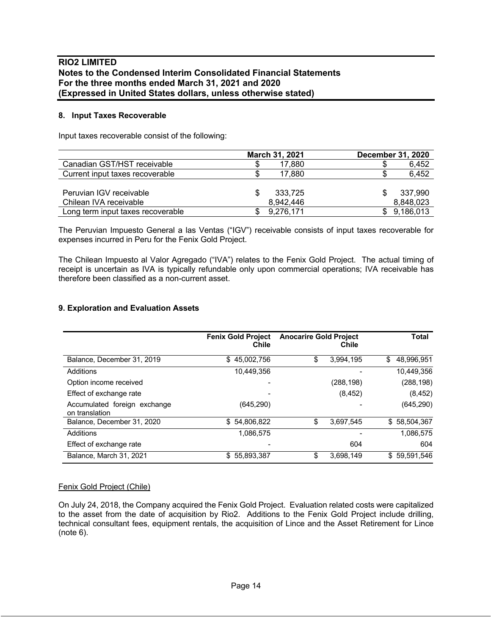#### **8. Input Taxes Recoverable**

Input taxes recoverable consist of the following:

|                                   | March 31, 2021 | <b>December 31, 2020</b> |
|-----------------------------------|----------------|--------------------------|
| Canadian GST/HST receivable       | 17.880         | 6,452                    |
| Current input taxes recoverable   | 17.880         | 6,452                    |
|                                   |                |                          |
| Peruvian IGV receivable           | 333,725        | 337,990                  |
| Chilean IVA receivable            | 8,942,446      | 8,848,023                |
| Long term input taxes recoverable | 9,276,171      | 9,186,013                |

The Peruvian Impuesto General a las Ventas ("IGV") receivable consists of input taxes recoverable for expenses incurred in Peru for the Fenix Gold Project.

The Chilean Impuesto al Valor Agregado ("IVA") relates to the Fenix Gold Project. The actual timing of receipt is uncertain as IVA is typically refundable only upon commercial operations; IVA receivable has therefore been classified as a non-current asset.

### **9. Exploration and Evaluation Assets**

|                                                | <b>Fenix Gold Project</b><br>Chile | <b>Anocarire Gold Project</b> | Chile      | Total            |
|------------------------------------------------|------------------------------------|-------------------------------|------------|------------------|
| Balance, December 31, 2019                     | 45,002,756<br>\$.                  | \$                            | 3,994,195  | \$<br>48.996.951 |
| Additions                                      | 10,449,356                         |                               |            | 10.449.356       |
| Option income received                         |                                    |                               | (288, 198) | (288, 198)       |
| Effect of exchange rate                        |                                    |                               | (8, 452)   | (8, 452)         |
| Accumulated foreign exchange<br>on translation | (645, 290)                         |                               |            | (645, 290)       |
| Balance, December 31, 2020                     | \$54,806,822                       | \$                            | 3,697,545  | \$58,504,367     |
| Additions                                      | 1,086,575                          |                               |            | 1,086,575        |
| Effect of exchange rate                        |                                    |                               | 604        | 604              |
| Balance, March 31, 2021                        | \$55,893,387                       | S                             | 3,698,149  | \$59,591,546     |

#### Fenix Gold Project (Chile)

On July 24, 2018, the Company acquired the Fenix Gold Project. Evaluation related costs were capitalized to the asset from the date of acquisition by Rio2. Additions to the Fenix Gold Project include drilling, technical consultant fees, equipment rentals, the acquisition of Lince and the Asset Retirement for Lince (note 6).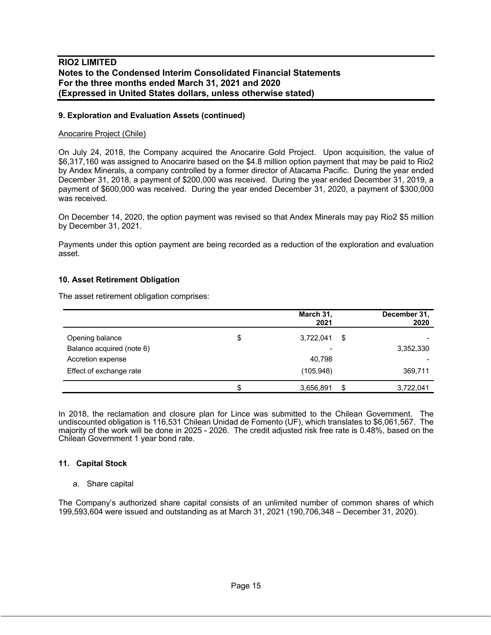### **9. Exploration and Evaluation Assets (continued)**

#### Anocarire Project (Chile)

On July 24, 2018, the Company acquired the Anocarire Gold Project. Upon acquisition, the value of \$6,317,160 was assigned to Anocarire based on the \$4.8 million option payment that may be paid to Rio2 by Andex Minerals, a company controlled by a former director of Atacama Pacific. During the year ended December 31, 2018, a payment of \$200,000 was received. During the year ended December 31, 2019, a payment of \$600,000 was received. During the year ended December 31, 2020, a payment of \$300,000 was received.

On December 14, 2020, the option payment was revised so that Andex Minerals may pay Rio2 \$5 million by December 31, 2021.

Payments under this option payment are being recorded as a reduction of the exploration and evaluation asset.

#### **10. Asset Retirement Obligation**

The asset retirement obligation comprises:

|                           | March 31,<br>2021 | December 31,<br>2020 |
|---------------------------|-------------------|----------------------|
| Opening balance           | \$<br>3,722,041   | \$                   |
| Balance acquired (note 6) | -                 | 3,352,330            |
| Accretion expense         | 40,798            |                      |
| Effect of exchange rate   | (105, 948)        | 369,711              |
|                           | 3,656,891         | \$<br>3,722,041      |

In 2018, the reclamation and closure plan for Lince was submitted to the Chilean Government. The undiscounted obligation is 116,531 Chilean Unidad de Fomento (UF), which translates to \$6,061,567. The majority of the work will be done in 2025 - 2026. The credit adjusted risk free rate is 0.48%, based on the Chilean Government 1 year bond rate.

#### **11. Capital Stock**

#### a. Share capital

The Company's authorized share capital consists of an unlimited number of common shares of which 199,593,604 were issued and outstanding as at March 31, 2021 (190,706,348 – December 31, 2020).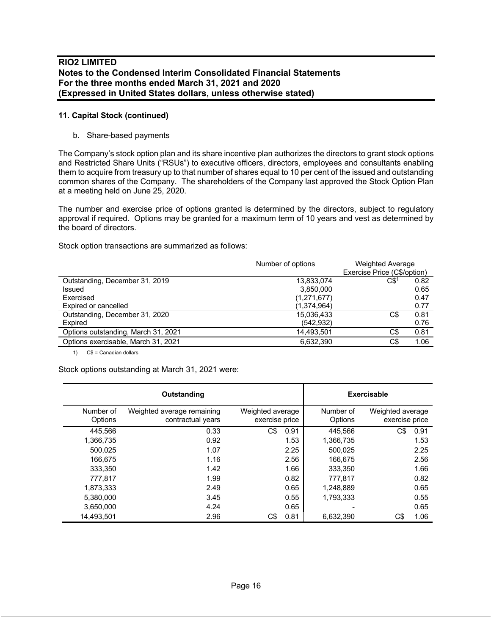### **11. Capital Stock (continued)**

### b. Share-based payments

The Company's stock option plan and its share incentive plan authorizes the directors to grant stock options and Restricted Share Units ("RSUs") to executive officers, directors, employees and consultants enabling them to acquire from treasury up to that number of shares equal to 10 per cent of the issued and outstanding common shares of the Company. The shareholders of the Company last approved the Stock Option Plan at a meeting held on June 25, 2020.

The number and exercise price of options granted is determined by the directors, subject to regulatory approval if required. Options may be granted for a maximum term of 10 years and vest as determined by the board of directors.

Stock option transactions are summarized as follows:

|                                     | Number of options | <b>Weighted Average</b>     |      |
|-------------------------------------|-------------------|-----------------------------|------|
|                                     |                   | Exercise Price (C\$/option) |      |
| Outstanding, December 31, 2019      | 13,833,074        | CS <sup>1</sup>             | 0.82 |
| Issued                              | 3,850,000         |                             | 0.65 |
| Exercised                           | (1,271,677)       |                             | 0.47 |
| Expired or cancelled                | (1,374,964)       |                             | 0.77 |
| Outstanding, December 31, 2020      | 15,036,433        | C\$                         | 0.81 |
| Expired                             | (542, 932)        |                             | 0.76 |
| Options outstanding, March 31, 2021 | 14,493,501        | C\$                         | 0.81 |
| Options exercisable, March 31, 2021 | 6.632.390         | C\$                         | 1.06 |
|                                     |                   |                             |      |

1) C\$ = Canadian dollars

Stock options outstanding at March 31, 2021 were:

|                      | Outstanding                                     |                                    | <b>Exercisable</b>   |                                    |
|----------------------|-------------------------------------------------|------------------------------------|----------------------|------------------------------------|
| Number of<br>Options | Weighted average remaining<br>contractual years | Weighted average<br>exercise price | Number of<br>Options | Weighted average<br>exercise price |
| 445.566              | 0.33                                            | C\$<br>0.91                        | 445.566              | C\$<br>0.91                        |
| 1,366,735            | 0.92                                            | 1.53                               | 1,366,735            | 1.53                               |
| 500,025              | 1.07                                            | 2.25                               | 500,025              | 2.25                               |
| 166.675              | 1.16                                            | 2.56                               | 166.675              | 2.56                               |
| 333,350              | 1.42                                            | 1.66                               | 333,350              | 1.66                               |
| 777,817              | 1.99                                            | 0.82                               | 777,817              | 0.82                               |
| 1,873,333            | 2.49                                            | 0.65                               | 1,248,889            | 0.65                               |
| 5,380,000            | 3.45                                            | 0.55                               | 1,793,333            | 0.55                               |
| 3.650.000            | 4.24                                            | 0.65                               |                      | 0.65                               |
| 14.493.501           | 2.96                                            | C\$<br>0.81                        | 6,632,390            | C\$<br>1.06                        |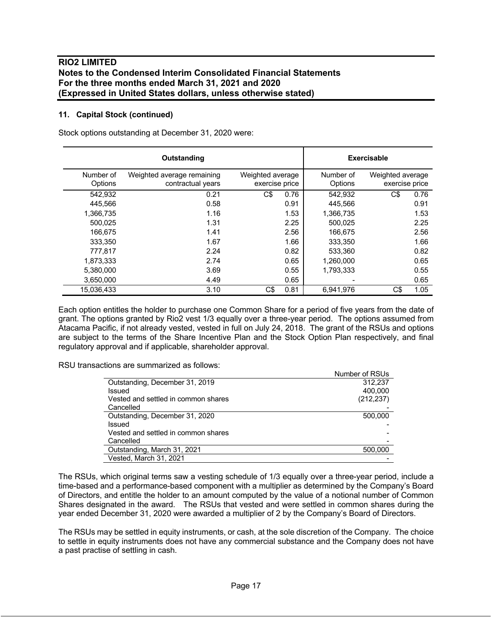### **11. Capital Stock (continued)**

Stock options outstanding at December 31, 2020 were:

|                      | Outstanding                                     |                                    | <b>Exercisable</b>   |                                    |
|----------------------|-------------------------------------------------|------------------------------------|----------------------|------------------------------------|
| Number of<br>Options | Weighted average remaining<br>contractual years | Weighted average<br>exercise price | Number of<br>Options | Weighted average<br>exercise price |
| 542,932              | 0.21                                            | C\$<br>0.76                        | 542,932              | 0.76<br>C\$                        |
| 445.566              | 0.58                                            | 0.91                               | 445.566              | 0.91                               |
| 1,366,735            | 1.16                                            | 1.53                               | 1,366,735            | 1.53                               |
| 500.025              | 1.31                                            | 2.25                               | 500.025              | 2.25                               |
| 166.675              | 1.41                                            | 2.56                               | 166.675              | 2.56                               |
| 333.350              | 1.67                                            | 1.66                               | 333.350              | 1.66                               |
| 777.817              | 2.24                                            | 0.82                               | 533.360              | 0.82                               |
| 1,873,333            | 2.74                                            | 0.65                               | 1,260,000            | 0.65                               |
| 5,380,000            | 3.69                                            | 0.55                               | 1,793,333            | 0.55                               |
| 3,650,000            | 4.49                                            | 0.65                               |                      | 0.65                               |
| 15.036.433           | 3.10                                            | C\$<br>0.81                        | 6.941.976            | C\$<br>1.05                        |

Each option entitles the holder to purchase one Common Share for a period of five years from the date of grant. The options granted by Rio2 vest 1/3 equally over a three-year period. The options assumed from Atacama Pacific, if not already vested, vested in full on July 24, 2018. The grant of the RSUs and options are subject to the terms of the Share Incentive Plan and the Stock Option Plan respectively, and final regulatory approval and if applicable, shareholder approval.

RSU transactions are summarized as follows:

|                                     | Number of RSUs |
|-------------------------------------|----------------|
| Outstanding, December 31, 2019      | 312.237        |
| Issued                              | 400.000        |
| Vested and settled in common shares | (212, 237)     |
| Cancelled                           |                |
| Outstanding, December 31, 2020      | 500,000        |
| Issued                              |                |
| Vested and settled in common shares |                |
| Cancelled                           |                |
| Outstanding, March 31, 2021         | 500,000        |
| Vested, March 31, 2021              |                |

The RSUs, which original terms saw a vesting schedule of 1/3 equally over a three-year period, include a time-based and a performance-based component with a multiplier as determined by the Company's Board of Directors, and entitle the holder to an amount computed by the value of a notional number of Common Shares designated in the award. The RSUs that vested and were settled in common shares during the year ended December 31, 2020 were awarded a multiplier of 2 by the Company's Board of Directors.

The RSUs may be settled in equity instruments, or cash, at the sole discretion of the Company. The choice to settle in equity instruments does not have any commercial substance and the Company does not have a past practise of settling in cash.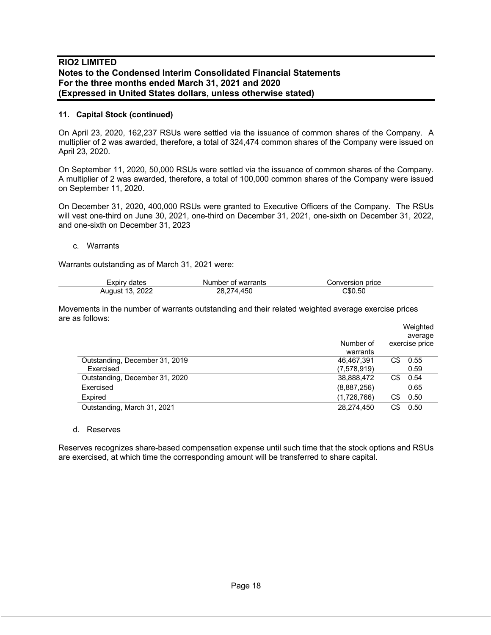### **11. Capital Stock (continued)**

On April 23, 2020, 162,237 RSUs were settled via the issuance of common shares of the Company. A multiplier of 2 was awarded, therefore, a total of 324,474 common shares of the Company were issued on April 23, 2020.

On September 11, 2020, 50,000 RSUs were settled via the issuance of common shares of the Company. A multiplier of 2 was awarded, therefore, a total of 100,000 common shares of the Company were issued on September 11, 2020.

On December 31, 2020, 400,000 RSUs were granted to Executive Officers of the Company. The RSUs will vest one-third on June 30, 2021, one-third on December 31, 2021, one-sixth on December 31, 2022, and one-sixth on December 31, 2023

#### c. Warrants

Warrants outstanding as of March 31, 2021 were:

| Expirv dates    | Number of warrants | Conversion price |  |
|-----------------|--------------------|------------------|--|
| August 13, 2022 | 28.274.450         | 50.50            |  |

Movements in the number of warrants outstanding and their related weighted average exercise prices are as follows:

|                                |             |     | Weighted       |
|--------------------------------|-------------|-----|----------------|
|                                |             |     | average        |
|                                | Number of   |     | exercise price |
|                                | warrants    |     |                |
| Outstanding, December 31, 2019 | 46.467.391  | C\$ | 0.55           |
| Exercised                      | (7,578,919) |     | 0.59           |
| Outstanding, December 31, 2020 | 38,888,472  | C\$ | 0.54           |
| Exercised                      | (8,887,256) |     | 0.65           |
| Expired                        | (1,726,766) | C\$ | 0.50           |
| Outstanding, March 31, 2021    | 28,274,450  | C\$ | 0.50           |

#### d. Reserves

Reserves recognizes share-based compensation expense until such time that the stock options and RSUs are exercised, at which time the corresponding amount will be transferred to share capital.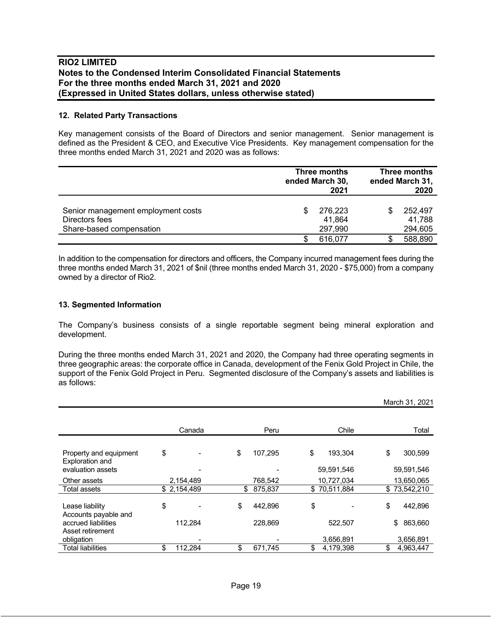#### **12. Related Party Transactions**

Key management consists of the Board of Directors and senior management. Senior management is defined as the President & CEO, and Executive Vice Presidents. Key management compensation for the three months ended March 31, 2021 and 2020 was as follows:

|                                                                                  |   | Three months<br>ended March 30,<br>2021 |  | Three months<br>ended March 31,<br>2020 |  |
|----------------------------------------------------------------------------------|---|-----------------------------------------|--|-----------------------------------------|--|
| Senior management employment costs<br>Directors fees<br>Share-based compensation | S | 276,223<br>41,864<br>297,990            |  | 252.497<br>41,788<br>294,605            |  |
|                                                                                  |   | 616,077                                 |  | 588,890                                 |  |

In addition to the compensation for directors and officers, the Company incurred management fees during the three months ended March 31, 2021 of \$nil (three months ended March 31, 2020 - \$75,000) from a company owned by a director of Rio2.

### **13. Segmented Information**

The Company's business consists of a single reportable segment being mineral exploration and development.

During the three months ended March 31, 2021 and 2020, the Company had three operating segments in three geographic areas: the corporate office in Canada, development of the Fenix Gold Project in Chile, the support of the Fenix Gold Project in Peru. Segmented disclosure of the Company's assets and liabilities is as follows:

|                                           |               |    |         |                 | March 31, 2021  |
|-------------------------------------------|---------------|----|---------|-----------------|-----------------|
|                                           | Canada        |    | Peru    | Chile           | Total           |
| Property and equipment<br>Exploration and | \$            | \$ | 107.295 | \$<br>193.304   | \$<br>300,599   |
| evaluation assets                         |               |    |         | 59,591,546      | 59,591,546      |
| Other assets                              | 2,154,489     |    | 768.542 | 10,727,034      | 13,650,065      |
| <b>Total assets</b>                       | \$2,154,489   | S  | 875,837 | \$70,511,884    | \$73,542,210    |
| Lease liability<br>Accounts payable and   | \$            | \$ | 442.896 | \$              | \$<br>442.896   |
| accrued liabilities<br>Asset retirement   | 112,284       |    | 228,869 | 522,507         | \$<br>863,660   |
| obligation                                |               |    |         | 3,656,891       | 3,656,891       |
| Total liabilities                         | \$<br>112,284 | \$ | 671,745 | \$<br>4,179,398 | \$<br>4,963,447 |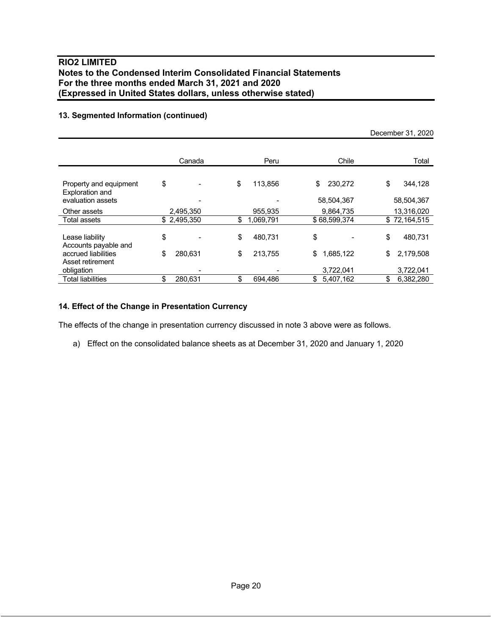## **13. Segmented Information (continued)**

|                                                                |               |                 |                             | December 31, 2020           |
|----------------------------------------------------------------|---------------|-----------------|-----------------------------|-----------------------------|
|                                                                | Canada        | Peru            | Chile                       | Total                       |
| Property and equipment<br>Exploration and<br>evaluation assets | \$            | \$<br>113,856   | \$<br>230,272<br>58,504,367 | \$<br>344,128<br>58,504,367 |
| Other assets                                                   | 2,495,350     | 955,935         | 9.864.735                   | 13,316,020                  |
| Total assets                                                   | \$2,495,350   | \$<br>1,069,791 | \$68,599,374                | \$72,164,515                |
| Lease liability<br>Accounts payable and                        | \$            | \$<br>480,731   | \$                          | \$<br>480,731               |
| accrued liabilities                                            | \$<br>280,631 | \$<br>213,755   | \$<br>1,685,122             | \$<br>2,179,508             |
| Asset retirement<br>obligation                                 |               |                 | 3,722,041                   | 3,722,041                   |
| <b>Total liabilities</b>                                       | \$<br>280,631 | \$<br>694.486   | 5,407,162<br>\$             | 6,382,280<br>\$             |

### **14. Effect of the Change in Presentation Currency**

The effects of the change in presentation currency discussed in note 3 above were as follows.

a) Effect on the consolidated balance sheets as at December 31, 2020 and January 1, 2020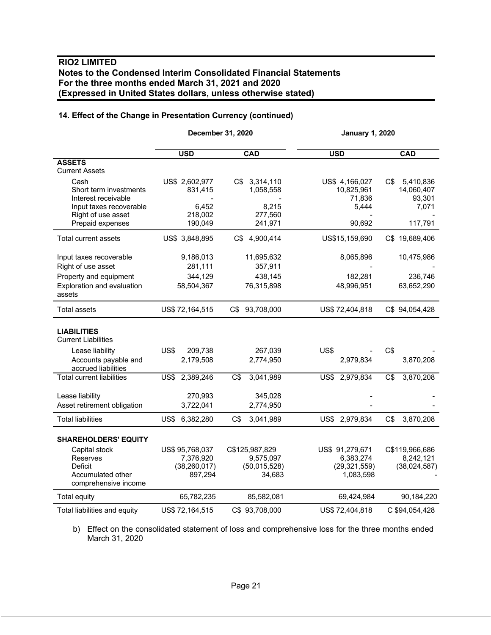# **14. Effect of the Change in Presentation Currency (continued)**

|                                                                                                                         | December 31, 2020                                         |                                                       |                                                             | <b>January 1, 2020</b>                            |  |  |
|-------------------------------------------------------------------------------------------------------------------------|-----------------------------------------------------------|-------------------------------------------------------|-------------------------------------------------------------|---------------------------------------------------|--|--|
|                                                                                                                         | <b>USD</b>                                                | <b>CAD</b>                                            | <b>USD</b>                                                  | <b>CAD</b>                                        |  |  |
| <b>ASSETS</b><br><b>Current Assets</b>                                                                                  |                                                           |                                                       |                                                             |                                                   |  |  |
| Cash<br>Short term investments<br>Interest receivable<br>Input taxes recoverable<br>Right of use asset                  | US\$ 2,602,977<br>831,415<br>6,452<br>218,002             | C\$ 3,314,110<br>1,058,558<br>8,215<br>277,560        | US\$ 4,166,027<br>10,825,961<br>71,836<br>5,444             | 5,410,836<br>C\$<br>14,060,407<br>93,301<br>7,071 |  |  |
| Prepaid expenses                                                                                                        | 190,049                                                   | 241,971                                               | 90,692                                                      | 117,791                                           |  |  |
| Total current assets                                                                                                    | US\$ 3,848,895                                            | C\$ 4,900,414                                         | US\$15,159,690                                              | C\$ 19,689,406                                    |  |  |
| Input taxes recoverable<br>Right of use asset<br>Property and equipment<br>Exploration and evaluation<br>assets         | 9,186,013<br>281,111<br>344,129<br>58,504,367             | 11,695,632<br>357,911<br>438,145<br>76,315,898        | 8,065,896<br>182,281<br>48,996,951                          | 10,475,986<br>236,746<br>63,652,290               |  |  |
| <b>Total assets</b>                                                                                                     | US\$ 72,164,515                                           | C\$ 93,708,000                                        | US\$ 72,404,818                                             | C\$ 94,054,428                                    |  |  |
| <b>LIABILITIES</b><br><b>Current Liabilities</b><br>Lease liability<br>Accounts payable and                             | US\$<br>209,738<br>2,179,508                              | 267,039<br>2,774,950                                  | US\$<br>2,979,834                                           | C\$<br>3,870,208                                  |  |  |
| accrued liabilities<br><b>Total current liabilities</b>                                                                 | US\$<br>2,389,246                                         | C\$<br>3,041,989                                      | US\$ 2,979,834                                              | C\$<br>3,870,208                                  |  |  |
| Lease liability<br>Asset retirement obligation                                                                          | 270,993<br>3,722,041                                      | 345,028<br>2,774,950                                  |                                                             |                                                   |  |  |
| <b>Total liabilities</b>                                                                                                | US\$<br>6,382,280                                         | C\$<br>3,041,989                                      | US\$ 2,979,834                                              | C\$<br>3,870,208                                  |  |  |
| <b>SHAREHOLDERS' EQUITY</b><br>Capital stock<br><b>Reserves</b><br>Deficit<br>Accumulated other<br>comprehensive income | US\$ 95,768,037<br>7,376,920<br>(38, 260, 017)<br>897,294 | C\$125,987,829<br>9,575,097<br>(50,015,528)<br>34,683 | US\$ 91,279,671<br>6,383,274<br>(29, 321, 559)<br>1,083,598 | C\$119,966,686<br>8,242,121<br>(38,024,587)       |  |  |
| Total equity                                                                                                            | 65,782,235                                                | 85,582,081                                            | 69,424,984                                                  | 90,184,220                                        |  |  |
| Total liabilities and equity                                                                                            | US\$ 72,164,515                                           | C\$ 93,708,000                                        | US\$ 72,404,818                                             | C \$94,054,428                                    |  |  |

b) Effect on the consolidated statement of loss and comprehensive loss for the three months ended March 31, 2020